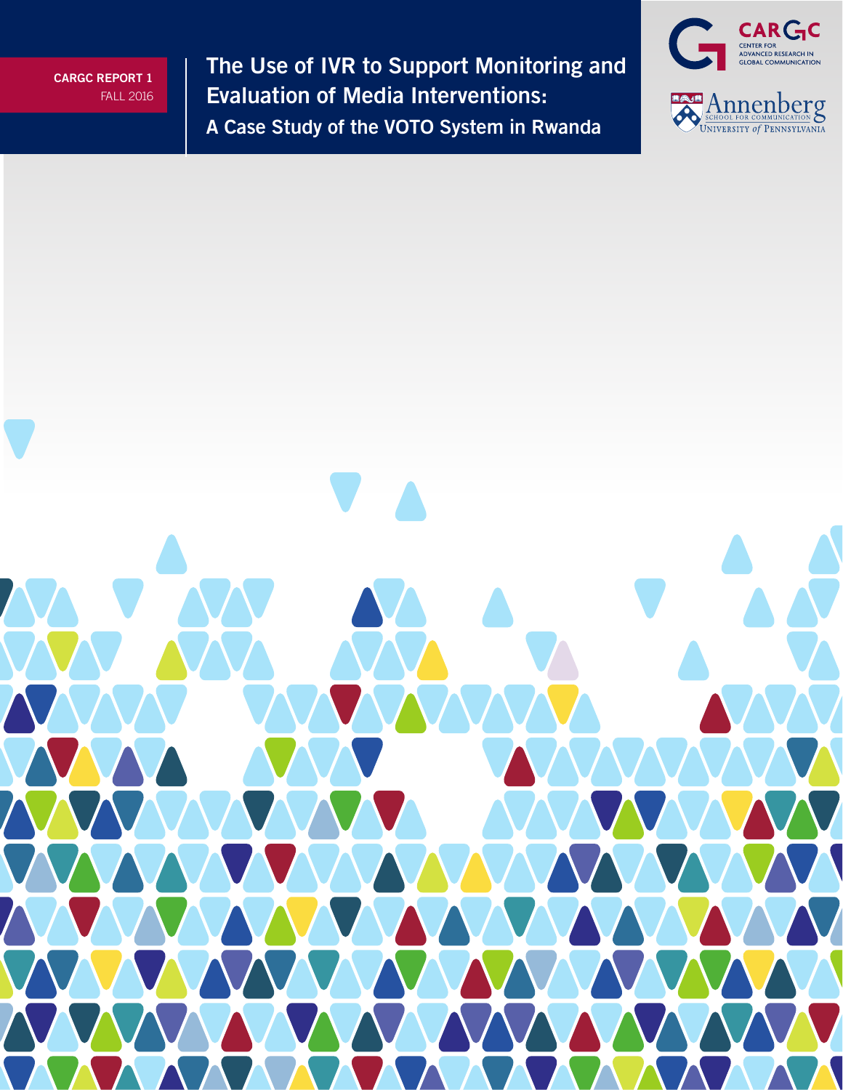**The Use of IVR to Support Monitoring and Evaluation of Media Interventions: A Case Study of the VOTO System in Rwanda**



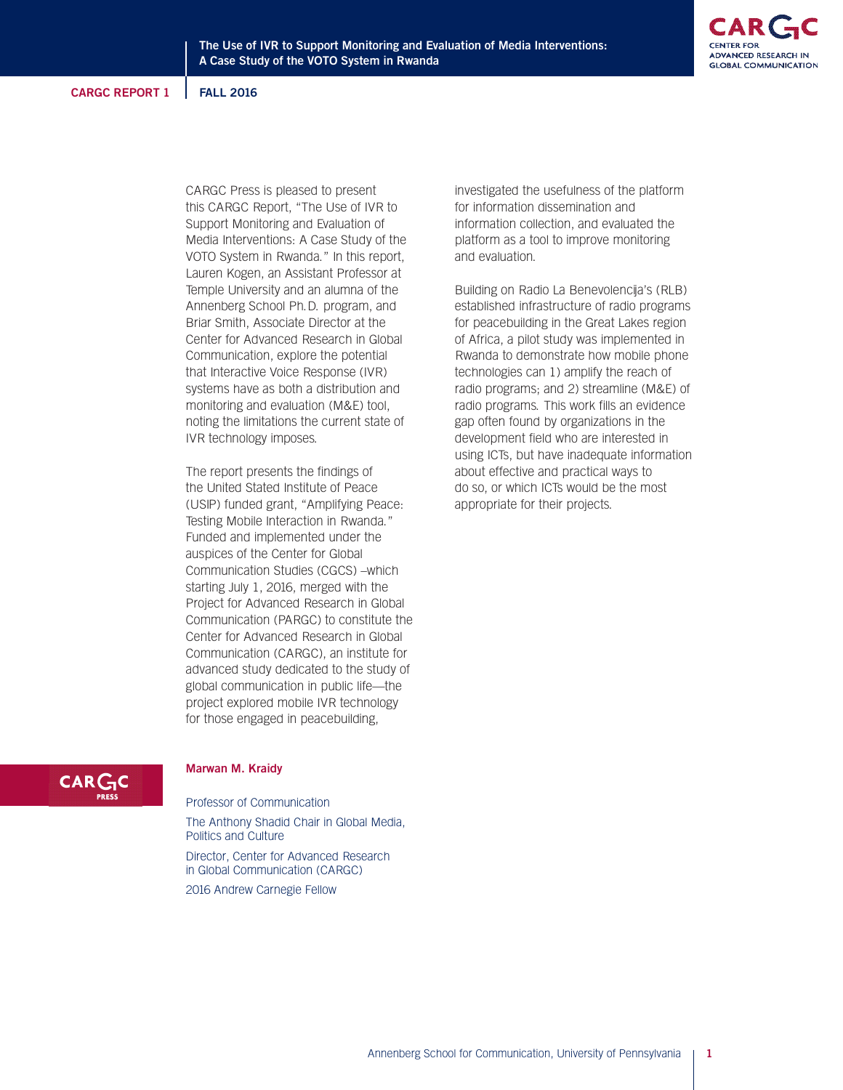CARGC Press is pleased to present this CARGC Report, "The Use of IVR to Support Monitoring and Evaluation of Media Interventions: A Case Study of the VOTO System in Rwanda." In this report, Lauren Kogen, an Assistant Professor at Temple University and an alumna of the Annenberg School Ph.D. program, and Briar Smith, Associate Director at the Center for Advanced Research in Global Communication, explore the potential that Interactive Voice Response (IVR) systems have as both a distribution and monitoring and evaluation (M&E) tool, noting the limitations the current state of IVR technology imposes.

The report presents the findings of the United Stated Institute of Peace (USIP) funded grant, "Amplifying Peace: Testing Mobile Interaction in Rwanda." Funded and implemented under the auspices of the Center for Global Communication Studies (CGCS) –which starting July 1, 2016, merged with the Project for Advanced Research in Global Communication (PARGC) to constitute the Center for Advanced Research in Global Communication (CARGC), an institute for advanced study dedicated to the study of global communication in public life—the project explored mobile IVR technology for those engaged in peacebuilding,

investigated the usefulness of the platform for information dissemination and information collection, and evaluated the platform as a tool to improve monitoring and evaluation.

Building on Radio La Benevolencija's (RLB) established infrastructure of radio programs for peacebuilding in the Great Lakes region of Africa, a pilot study was implemented in Rwanda to demonstrate how mobile phone technologies can 1) amplify the reach of radio programs; and 2) streamline (M&E) of radio programs. This work fills an evidence gap often found by organizations in the development field who are interested in using ICTs, but have inadequate information about effective and practical ways to do so, or which ICTs would be the most appropriate for their projects.

# **CARC**

# **Marwan M. Kraidy**

Professor of Communication The Anthony Shadid Chair in Global Media, Politics and Culture

Director, Center for Advanced Research in Global Communication (CARGC)

2016 Andrew Carnegie Fellow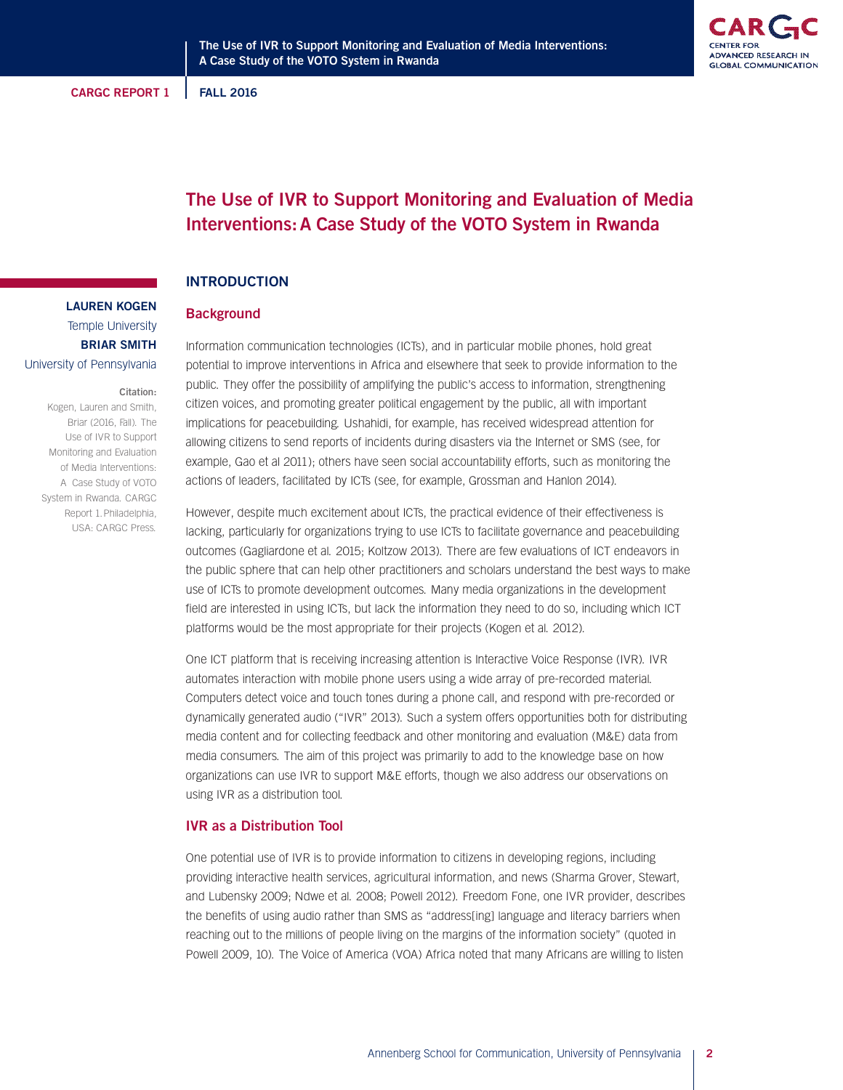

# **The Use of IVR to Support Monitoring and Evaluation of Media Interventions:A Case Study of the VOTO System in Rwanda**

# **INTRODUCTION**

# **Background**

Information communication technologies (ICTs), and in particular mobile phones, hold great potential to improve interventions in Africa and elsewhere that seek to provide information to the public. They offer the possibility of amplifying the public's access to information, strengthening citizen voices, and promoting greater political engagement by the public, all with important implications for peacebuilding. Ushahidi, for example, has received widespread attention for allowing citizens to send reports of incidents during disasters via the Internet or SMS (see, for example, Gao et al 2011); others have seen social accountability efforts, such as monitoring the actions of leaders, facilitated by ICTs (see, for example, Grossman and Hanlon 2014).

However, despite much excitement about ICTs, the practical evidence of their effectiveness is lacking, particularly for organizations trying to use ICTs to facilitate governance and peacebuilding outcomes (Gagliardone et al. 2015; Koltzow 2013). There are few evaluations of ICT endeavors in the public sphere that can help other practitioners and scholars understand the best ways to make use of ICTs to promote development outcomes. Many media organizations in the development field are interested in using ICTs, but lack the information they need to do so, including which ICT platforms would be the most appropriate for their projects (Kogen et al. 2012).

One ICT platform that is receiving increasing attention is Interactive Voice Response (IVR). IVR automates interaction with mobile phone users using a wide array of pre-recorded material. Computers detect voice and touch tones during a phone call, and respond with pre-recorded or dynamically generated audio ("IVR" 2013). Such a system offers opportunities both for distributing media content and for collecting feedback and other monitoring and evaluation (M&E) data from media consumers. The aim of this project was primarily to add to the knowledge base on how organizations can use IVR to support M&E efforts, though we also address our observations on using IVR as a distribution tool.

# **IVR as a Distribution Tool**

One potential use of IVR is to provide information to citizens in developing regions, including providing interactive health services, agricultural information, and news (Sharma Grover, Stewart, and Lubensky 2009; Ndwe et al. 2008; Powell 2012). Freedom Fone, one IVR provider, describes the benefits of using audio rather than SMS as "address[ing] language and literacy barriers when reaching out to the millions of people living on the margins of the information society" (quoted in Powell 2009, 10). The Voice of America (VOA) Africa noted that many Africans are willing to listen

# **LAUREN KOGEN**

Temple University **BRIAR SMITH**

# University of Pennsylvania

#### **Citation:**

Kogen, Lauren and Smith, Briar (2016, Fall). The Use of IVR to Support Monitoring and Evaluation of Media Interventions: A Case Study of VOTO System in Rwanda. CARGC Report 1.Philadelphia, USA: CARGC Press.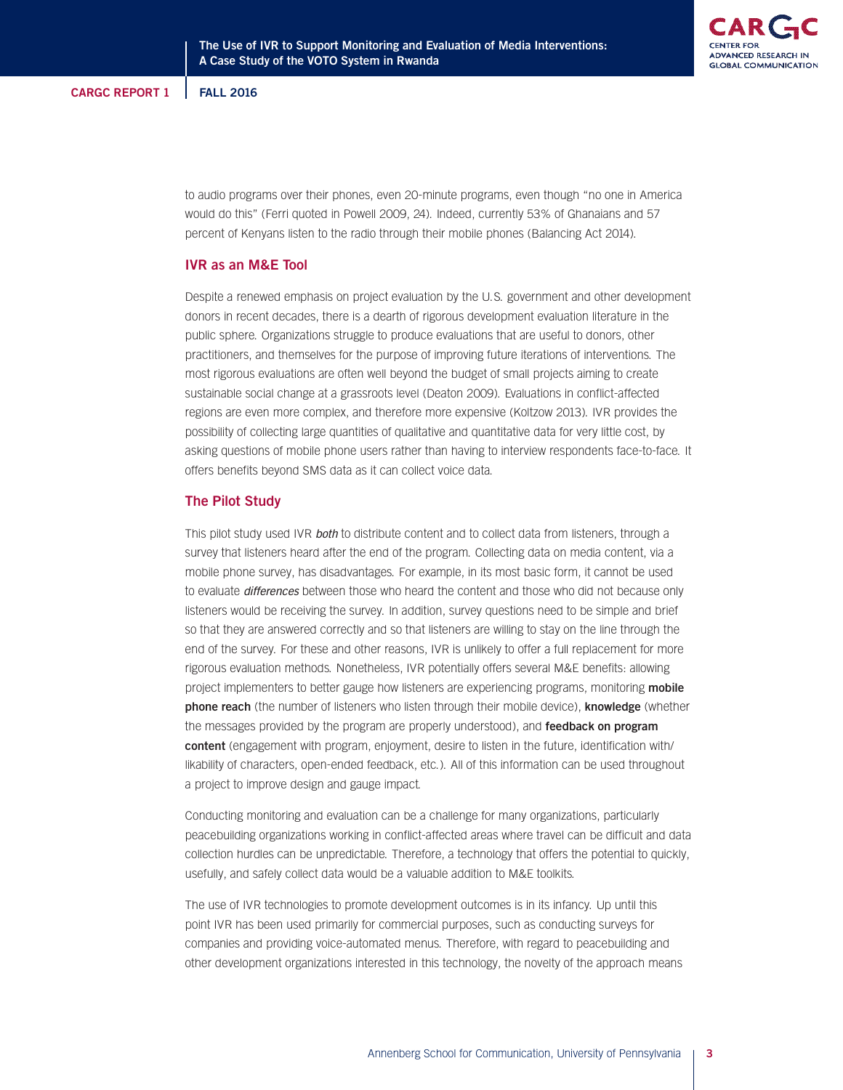

to audio programs over their phones, even 20-minute programs, even though "no one in America would do this" (Ferri quoted in Powell 2009, 24). Indeed, currently 53% of Ghanaians and 57 percent of Kenyans listen to the radio through their mobile phones (Balancing Act 2014).

# **IVR as an M&E Tool**

Despite a renewed emphasis on project evaluation by the U.S. government and other development donors in recent decades, there is a dearth of rigorous development evaluation literature in the public sphere. Organizations struggle to produce evaluations that are useful to donors, other practitioners, and themselves for the purpose of improving future iterations of interventions. The most rigorous evaluations are often well beyond the budget of small projects aiming to create sustainable social change at a grassroots level (Deaton 2009). Evaluations in conflict-affected regions are even more complex, and therefore more expensive (Koltzow 2013). IVR provides the possibility of collecting large quantities of qualitative and quantitative data for very little cost, by asking questions of mobile phone users rather than having to interview respondents face-to-face. It offers benefits beyond SMS data as it can collect voice data.

#### **The Pilot Study**

This pilot study used IVR **both** to distribute content and to collect data from listeners, through a survey that listeners heard after the end of the program. Collecting data on media content, via a mobile phone survey, has disadvantages. For example, in its most basic form, it cannot be used to evaluate differences between those who heard the content and those who did not because only listeners would be receiving the survey. In addition, survey questions need to be simple and brief so that they are answered correctly and so that listeners are willing to stay on the line through the end of the survey. For these and other reasons, IVR is unlikely to offer a full replacement for more rigorous evaluation methods. Nonetheless, IVR potentially offers several M&E benefits: allowing project implementers to better gauge how listeners are experiencing programs, monitoring **mobile phone reach** (the number of listeners who listen through their mobile device), **knowledge** (whether the messages provided by the program are properly understood), and **feedback on program content** (engagement with program, enjoyment, desire to listen in the future, identification with/ likability of characters, open-ended feedback, etc.). All of this information can be used throughout a project to improve design and gauge impact.

Conducting monitoring and evaluation can be a challenge for many organizations, particularly peacebuilding organizations working in conflict-affected areas where travel can be difficult and data collection hurdles can be unpredictable. Therefore, a technology that offers the potential to quickly, usefully, and safely collect data would be a valuable addition to M&E toolkits.

The use of IVR technologies to promote development outcomes is in its infancy. Up until this point IVR has been used primarily for commercial purposes, such as conducting surveys for companies and providing voice-automated menus. Therefore, with regard to peacebuilding and other development organizations interested in this technology, the novelty of the approach means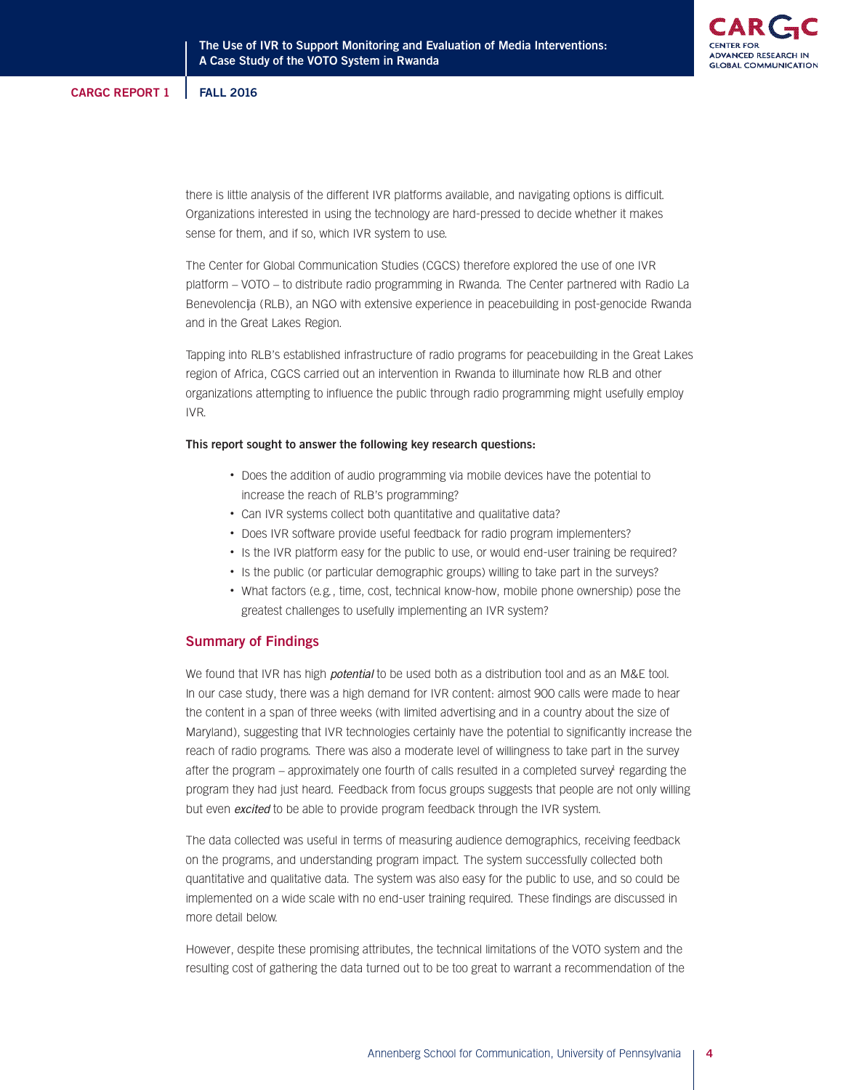

there is little analysis of the different IVR platforms available, and navigating options is difficult. Organizations interested in using the technology are hard-pressed to decide whether it makes sense for them, and if so, which IVR system to use.

The Center for Global Communication Studies (CGCS) therefore explored the use of one IVR platform – VOTO – to distribute radio programming in Rwanda. The Center partnered with Radio La Benevolencija (RLB), an NGO with extensive experience in peacebuilding in post-genocide Rwanda and in the Great Lakes Region.

Tapping into RLB's established infrastructure of radio programs for peacebuilding in the Great Lakes region of Africa, CGCS carried out an intervention in Rwanda to illuminate how RLB and other organizations attempting to influence the public through radio programming might usefully employ IVR.

#### **This report sought to answer the following key research questions:**

- Does the addition of audio programming via mobile devices have the potential to increase the reach of RLB's programming?
- Can IVR systems collect both quantitative and qualitative data?
- Does IVR software provide useful feedback for radio program implementers?
- Is the IVR platform easy for the public to use, or would end-user training be required?
- Is the public (or particular demographic groups) willing to take part in the surveys?
- What factors (e.g., time, cost, technical know-how, mobile phone ownership) pose the greatest challenges to usefully implementing an IVR system?

# **Summary of Findings**

We found that IVR has high *potential* to be used both as a distribution tool and as an M&E tool. In our case study, there was a high demand for IVR content: almost 900 calls were made to hear the content in a span of three weeks (with limited advertising and in a country about the size of Maryland), suggesting that IVR technologies certainly have the potential to significantly increase the reach of radio programs. There was also a moderate level of willingness to take part in the survey after the program – approximately one fourth of calls resulted in a completed survey<sup>t</sup> regarding the program they had just heard. Feedback from focus groups suggests that people are not only willing but even excited to be able to provide program feedback through the IVR system.

The data collected was useful in terms of measuring audience demographics, receiving feedback on the programs, and understanding program impact. The system successfully collected both quantitative and qualitative data. The system was also easy for the public to use, and so could be implemented on a wide scale with no end-user training required. These findings are discussed in more detail below.

However, despite these promising attributes, the technical limitations of the VOTO system and the resulting cost of gathering the data turned out to be too great to warrant a recommendation of the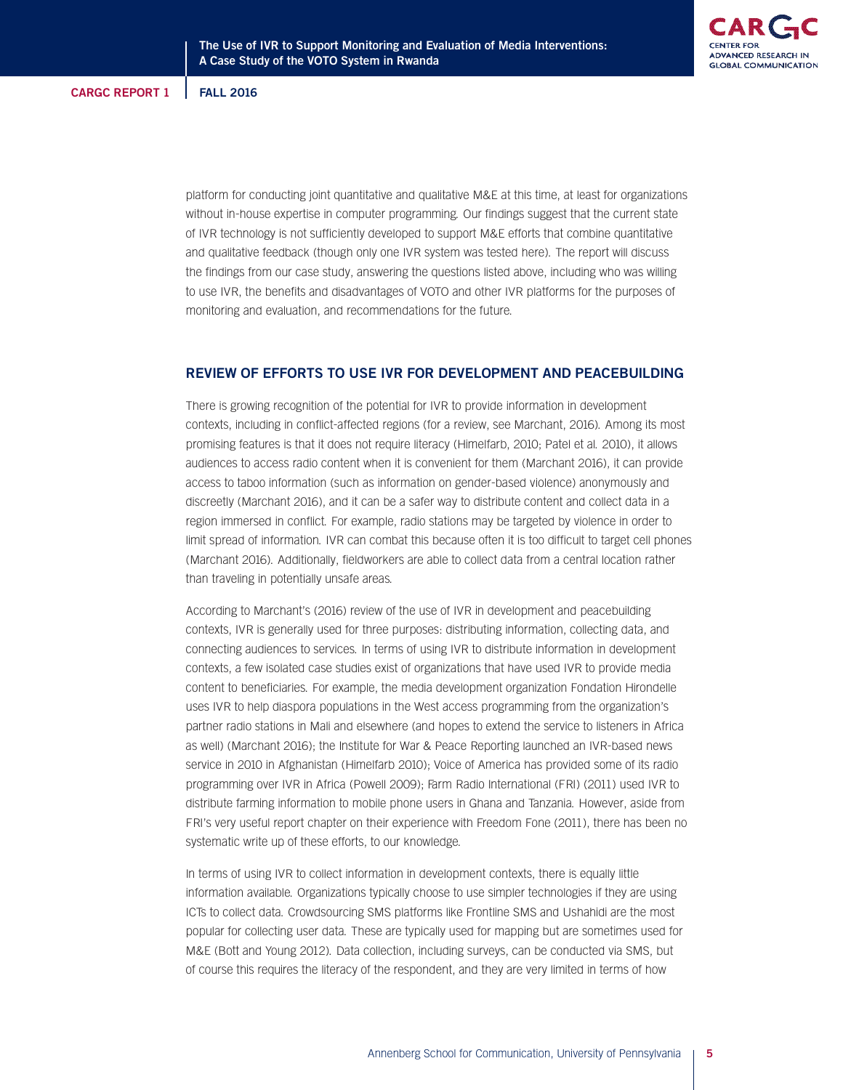platform for conducting joint quantitative and qualitative M&E at this time, at least for organizations without in-house expertise in computer programming. Our findings suggest that the current state of IVR technology is not sufficiently developed to support M&E efforts that combine quantitative and qualitative feedback (though only one IVR system was tested here). The report will discuss the findings from our case study, answering the questions listed above, including who was willing to use IVR, the benefits and disadvantages of VOTO and other IVR platforms for the purposes of monitoring and evaluation, and recommendations for the future.

# **REVIEW OF EFFORTS TO USE IVR FOR DEVELOPMENT AND PEACEBUILDING**

There is growing recognition of the potential for IVR to provide information in development contexts, including in conflict-affected regions (for a review, see Marchant, 2016). Among its most promising features is that it does not require literacy (Himelfarb, 2010; Patel et al. 2010), it allows audiences to access radio content when it is convenient for them (Marchant 2016), it can provide access to taboo information (such as information on gender-based violence) anonymously and discreetly (Marchant 2016), and it can be a safer way to distribute content and collect data in a region immersed in conflict. For example, radio stations may be targeted by violence in order to limit spread of information. IVR can combat this because often it is too difficult to target cell phones (Marchant 2016). Additionally, fieldworkers are able to collect data from a central location rather than traveling in potentially unsafe areas.

According to Marchant's (2016) review of the use of IVR in development and peacebuilding contexts, IVR is generally used for three purposes: distributing information, collecting data, and connecting audiences to services. In terms of using IVR to distribute information in development contexts, a few isolated case studies exist of organizations that have used IVR to provide media content to beneficiaries. For example, the media development organization Fondation Hirondelle uses IVR to help diaspora populations in the West access programming from the organization's partner radio stations in Mali and elsewhere (and hopes to extend the service to listeners in Africa as well) (Marchant 2016); the Institute for War & Peace Reporting launched an IVR-based news service in 2010 in Afghanistan (Himelfarb 2010); Voice of America has provided some of its radio programming over IVR in Africa (Powell 2009); Farm Radio International (FRI) (2011) used IVR to distribute farming information to mobile phone users in Ghana and Tanzania. However, aside from FRI's very useful report chapter on their experience with Freedom Fone (2011), there has been no systematic write up of these efforts, to our knowledge.

In terms of using IVR to collect information in development contexts, there is equally little information available. Organizations typically choose to use simpler technologies if they are using ICTs to collect data. Crowdsourcing SMS platforms like Frontline SMS and Ushahidi are the most popular for collecting user data. These are typically used for mapping but are sometimes used for M&E (Bott and Young 2012). Data collection, including surveys, can be conducted via SMS, but of course this requires the literacy of the respondent, and they are very limited in terms of how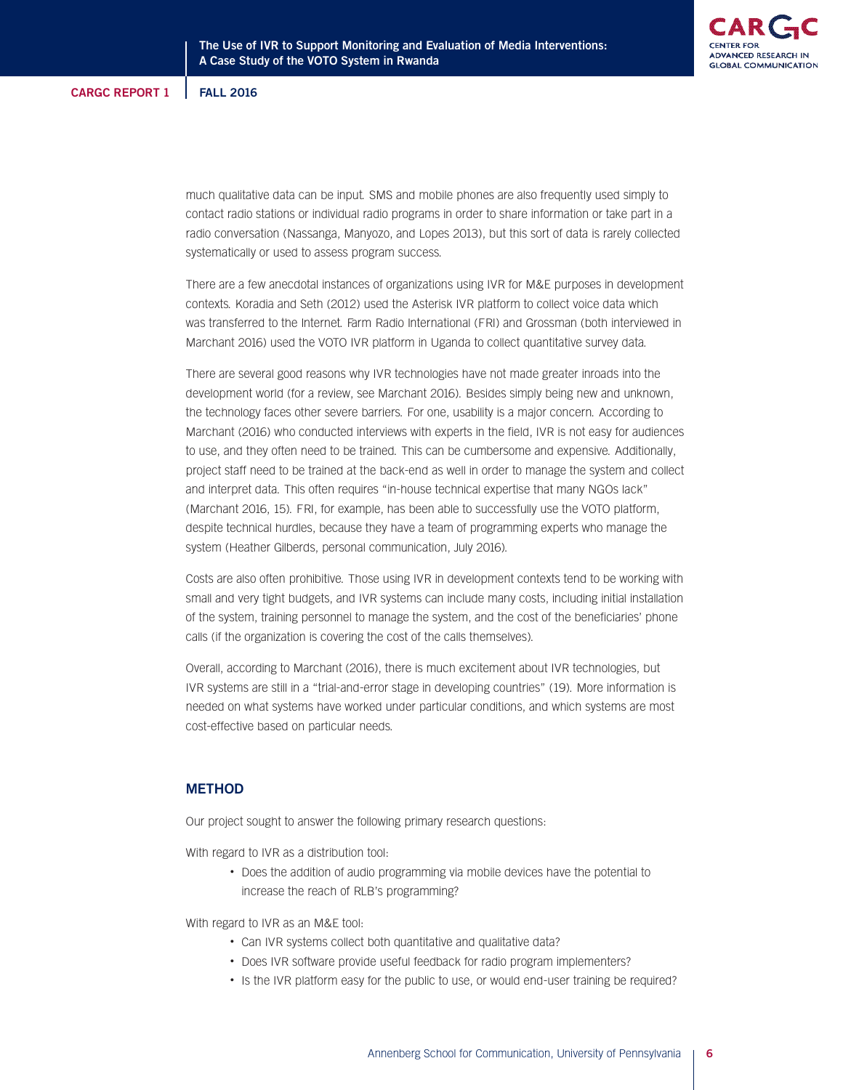much qualitative data can be input. SMS and mobile phones are also frequently used simply to contact radio stations or individual radio programs in order to share information or take part in a radio conversation (Nassanga, Manyozo, and Lopes 2013), but this sort of data is rarely collected systematically or used to assess program success.

There are a few anecdotal instances of organizations using IVR for M&E purposes in development contexts. Koradia and Seth (2012) used the Asterisk IVR platform to collect voice data which was transferred to the Internet. Farm Radio International (FRI) and Grossman (both interviewed in Marchant 2016) used the VOTO IVR platform in Uganda to collect quantitative survey data.

There are several good reasons why IVR technologies have not made greater inroads into the development world (for a review, see Marchant 2016). Besides simply being new and unknown, the technology faces other severe barriers. For one, usability is a major concern. According to Marchant (2016) who conducted interviews with experts in the field, IVR is not easy for audiences to use, and they often need to be trained. This can be cumbersome and expensive. Additionally, project staff need to be trained at the back-end as well in order to manage the system and collect and interpret data. This often requires "in-house technical expertise that many NGOs lack" (Marchant 2016, 15). FRI, for example, has been able to successfully use the VOTO platform, despite technical hurdles, because they have a team of programming experts who manage the system (Heather Gilberds, personal communication, July 2016).

Costs are also often prohibitive. Those using IVR in development contexts tend to be working with small and very tight budgets, and IVR systems can include many costs, including initial installation of the system, training personnel to manage the system, and the cost of the beneficiaries' phone calls (if the organization is covering the cost of the calls themselves).

Overall, according to Marchant (2016), there is much excitement about IVR technologies, but IVR systems are still in a "trial-and-error stage in developing countries" (19). More information is needed on what systems have worked under particular conditions, and which systems are most cost-effective based on particular needs.

# **METHOD**

Our project sought to answer the following primary research questions:

With regard to IVR as a distribution tool:

• Does the addition of audio programming via mobile devices have the potential to increase the reach of RLB's programming?

With regard to IVR as an M&E tool:

- Can IVR systems collect both quantitative and qualitative data?
- Does IVR software provide useful feedback for radio program implementers?
- Is the IVR platform easy for the public to use, or would end-user training be required?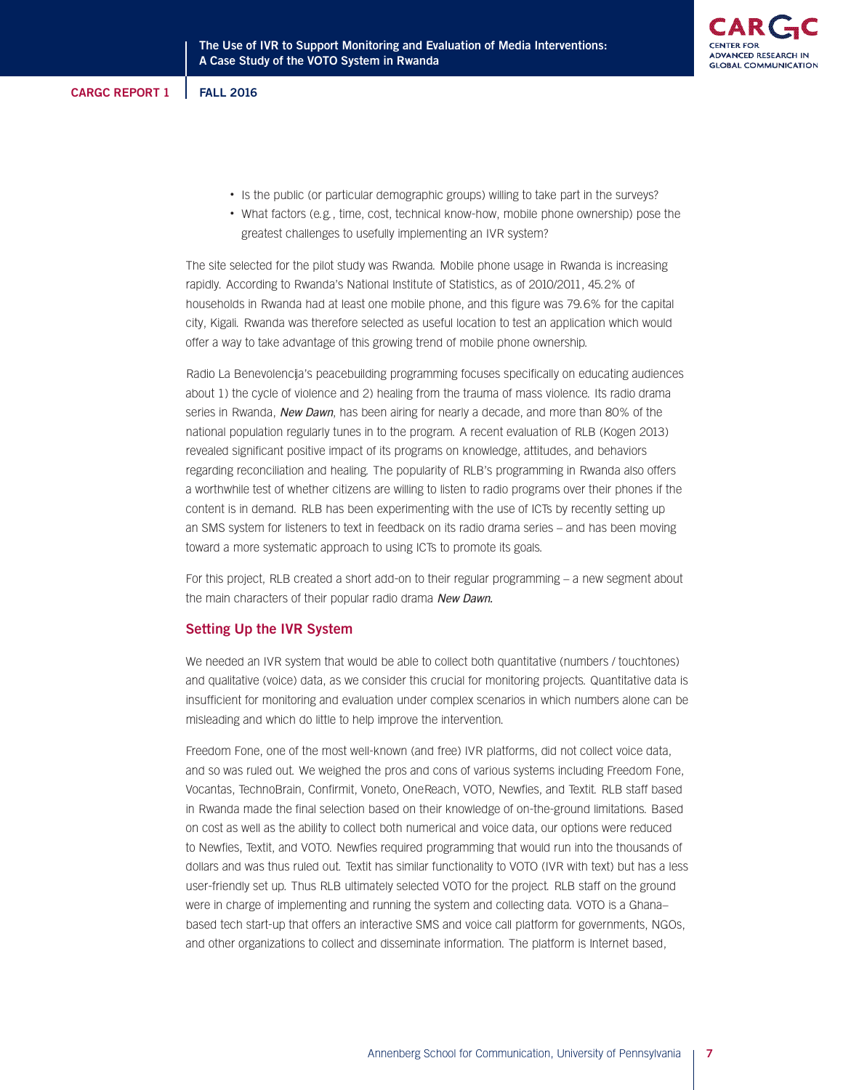- Is the public (or particular demographic groups) willing to take part in the surveys?
- What factors (e.g., time, cost, technical know-how, mobile phone ownership) pose the greatest challenges to usefully implementing an IVR system?

The site selected for the pilot study was Rwanda. Mobile phone usage in Rwanda is increasing rapidly. According to Rwanda's National Institute of Statistics, as of 2010/2011, 45.2% of households in Rwanda had at least one mobile phone, and this figure was 79.6% for the capital city, Kigali. Rwanda was therefore selected as useful location to test an application which would offer a way to take advantage of this growing trend of mobile phone ownership.

Radio La Benevolencija's peacebuilding programming focuses specifically on educating audiences about 1) the cycle of violence and 2) healing from the trauma of mass violence. Its radio drama series in Rwanda, New Dawn, has been airing for nearly a decade, and more than 80% of the national population regularly tunes in to the program. A recent evaluation of RLB (Kogen 2013) revealed significant positive impact of its programs on knowledge, attitudes, and behaviors regarding reconciliation and healing. The popularity of RLB's programming in Rwanda also offers a worthwhile test of whether citizens are willing to listen to radio programs over their phones if the content is in demand. RLB has been experimenting with the use of ICTs by recently setting up an SMS system for listeners to text in feedback on its radio drama series – and has been moving toward a more systematic approach to using ICTs to promote its goals.

For this project, RLB created a short add-on to their regular programming – a new segment about the main characters of their popular radio drama New Dawn.

# **Setting Up the IVR System**

We needed an IVR system that would be able to collect both quantitative (numbers / touchtones) and qualitative (voice) data, as we consider this crucial for monitoring projects. Quantitative data is insufficient for monitoring and evaluation under complex scenarios in which numbers alone can be misleading and which do little to help improve the intervention.

Freedom Fone, one of the most well-known (and free) IVR platforms, did not collect voice data, and so was ruled out. We weighed the pros and cons of various systems including Freedom Fone, Vocantas, TechnoBrain, Confirmit, Voneto, OneReach, VOTO, Newfies, and Textit. RLB staff based in Rwanda made the final selection based on their knowledge of on-the-ground limitations. Based on cost as well as the ability to collect both numerical and voice data, our options were reduced to Newfies, Textit, and VOTO. Newfies required programming that would run into the thousands of dollars and was thus ruled out. Textit has similar functionality to VOTO (IVR with text) but has a less user-friendly set up. Thus RLB ultimately selected VOTO for the project. RLB staff on the ground were in charge of implementing and running the system and collecting data. VOTO is a Ghana– based tech start-up that offers an interactive SMS and voice call platform for governments, NGOs, and other organizations to collect and disseminate information. The platform is Internet based,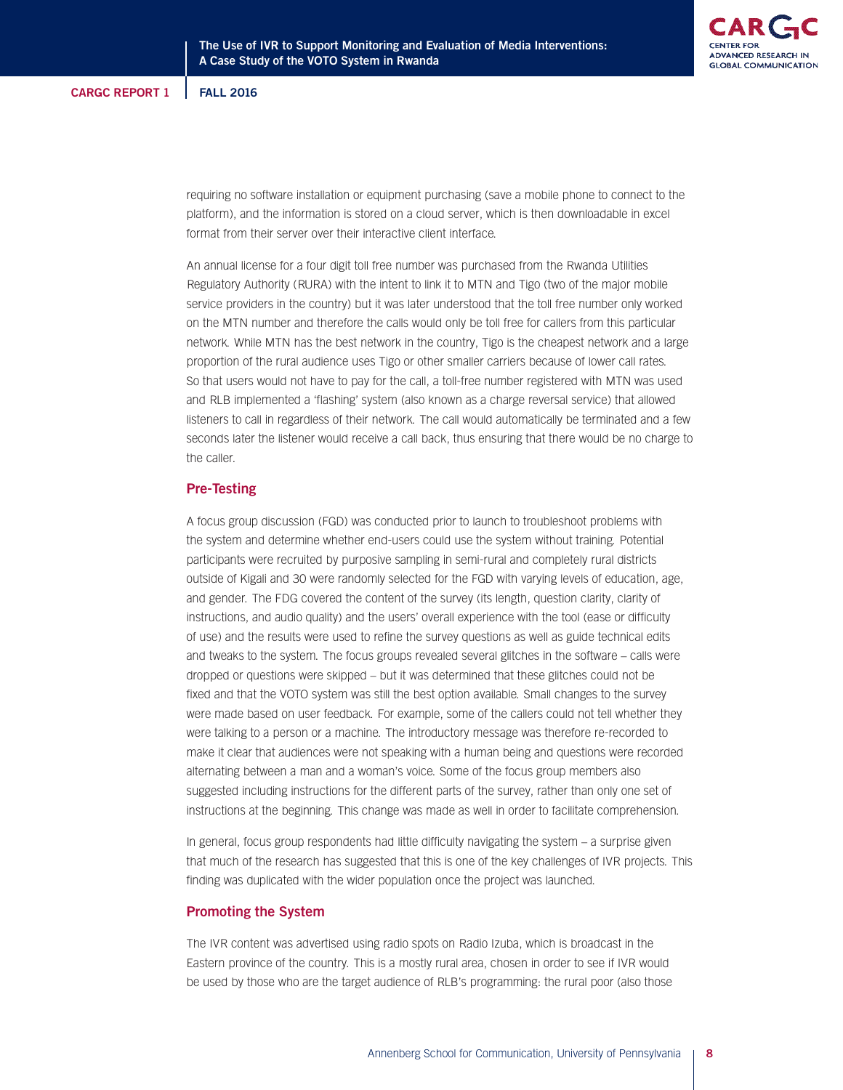

requiring no software installation or equipment purchasing (save a mobile phone to connect to the platform), and the information is stored on a cloud server, which is then downloadable in excel format from their server over their interactive client interface.

An annual license for a four digit toll free number was purchased from the Rwanda Utilities Regulatory Authority (RURA) with the intent to link it to MTN and Tigo (two of the major mobile service providers in the country) but it was later understood that the toll free number only worked on the MTN number and therefore the calls would only be toll free for callers from this particular network. While MTN has the best network in the country, Tigo is the cheapest network and a large proportion of the rural audience uses Tigo or other smaller carriers because of lower call rates. So that users would not have to pay for the call, a toll-free number registered with MTN was used and RLB implemented a 'flashing' system (also known as a charge reversal service) that allowed listeners to call in regardless of their network. The call would automatically be terminated and a few seconds later the listener would receive a call back, thus ensuring that there would be no charge to the caller.

### **Pre-Testing**

A focus group discussion (FGD) was conducted prior to launch to troubleshoot problems with the system and determine whether end-users could use the system without training. Potential participants were recruited by purposive sampling in semi-rural and completely rural districts outside of Kigali and 30 were randomly selected for the FGD with varying levels of education, age, and gender. The FDG covered the content of the survey (its length, question clarity, clarity of instructions, and audio quality) and the users' overall experience with the tool (ease or difficulty of use) and the results were used to refine the survey questions as well as guide technical edits and tweaks to the system. The focus groups revealed several glitches in the software – calls were dropped or questions were skipped – but it was determined that these glitches could not be fixed and that the VOTO system was still the best option available. Small changes to the survey were made based on user feedback. For example, some of the callers could not tell whether they were talking to a person or a machine. The introductory message was therefore re-recorded to make it clear that audiences were not speaking with a human being and questions were recorded alternating between a man and a woman's voice. Some of the focus group members also suggested including instructions for the different parts of the survey, rather than only one set of instructions at the beginning. This change was made as well in order to facilitate comprehension.

In general, focus group respondents had little difficulty navigating the system – a surprise given that much of the research has suggested that this is one of the key challenges of IVR projects. This finding was duplicated with the wider population once the project was launched.

## **Promoting the System**

The IVR content was advertised using radio spots on Radio Izuba, which is broadcast in the Eastern province of the country. This is a mostly rural area, chosen in order to see if IVR would be used by those who are the target audience of RLB's programming: the rural poor (also those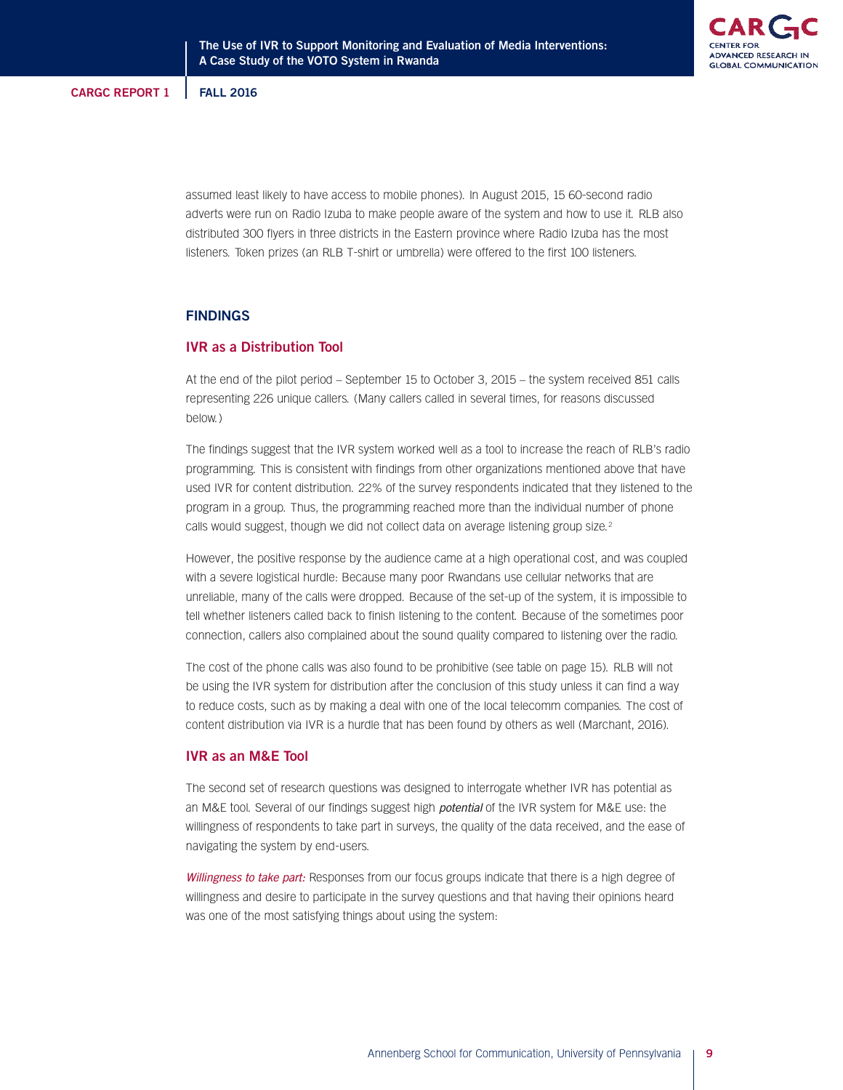assumed least likely to have access to mobile phones). In August 2015, 15 60-second radio adverts were run on Radio Izuba to make people aware of the system and how to use it. RLB also distributed 300 flyers in three districts in the Eastern province where Radio Izuba has the most listeners. Token prizes (an RLB T-shirt or umbrella) were offered to the first 100 listeners.

# **FINDINGS**

# **IVR as a Distribution Tool**

At the end of the pilot period – September 15 to October 3, 2015 – the system received 851 calls representing 226 unique callers. (Many callers called in several times, for reasons discussed below.)

The findings suggest that the IVR system worked well as a tool to increase the reach of RLB's radio programming. This is consistent with findings from other organizations mentioned above that have used IVR for content distribution. 22% of the survey respondents indicated that they listened to the program in a group. Thus, the programming reached more than the individual number of phone calls would suggest, though we did not collect data on average listening group size.<sup>2</sup>

However, the positive response by the audience came at a high operational cost, and was coupled with a severe logistical hurdle: Because many poor Rwandans use cellular networks that are unreliable, many of the calls were dropped. Because of the set-up of the system, it is impossible to tell whether listeners called back to finish listening to the content. Because of the sometimes poor connection, callers also complained about the sound quality compared to listening over the radio.

The cost of the phone calls was also found to be prohibitive (see table on page 15). RLB will not be using the IVR system for distribution after the conclusion of this study unless it can find a way to reduce costs, such as by making a deal with one of the local telecomm companies. The cost of content distribution via IVR is a hurdle that has been found by others as well (Marchant, 2016).

# **IVR as an M&E Tool**

The second set of research questions was designed to interrogate whether IVR has potential as an M&E tool. Several of our findings suggest high potential of the IVR system for M&E use: the willingness of respondents to take part in surveys, the quality of the data received, and the ease of navigating the system by end-users.

Willingness to take part: Responses from our focus groups indicate that there is a high degree of willingness and desire to participate in the survey questions and that having their opinions heard was one of the most satisfying things about using the system: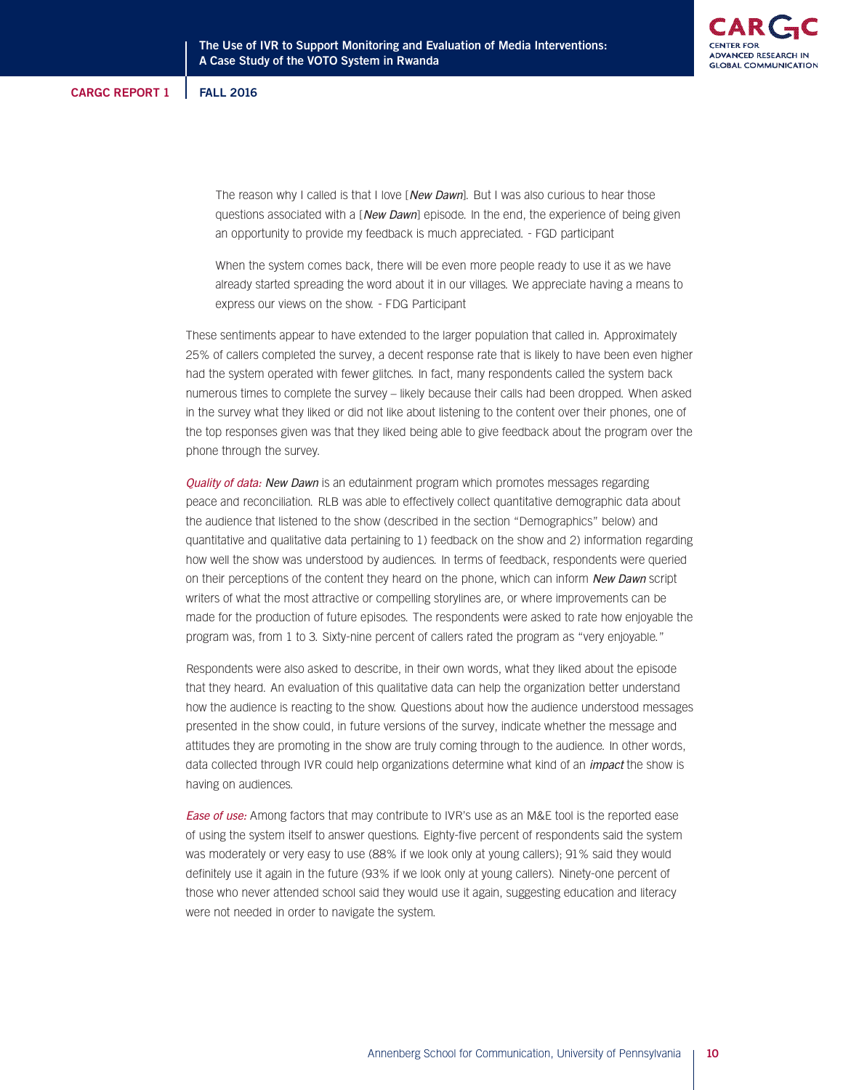The reason why I called is that I love [New Dawn]. But I was also curious to hear those questions associated with a [New Dawn] episode. In the end, the experience of being given an opportunity to provide my feedback is much appreciated. - FGD participant

When the system comes back, there will be even more people ready to use it as we have already started spreading the word about it in our villages. We appreciate having a means to express our views on the show. - FDG Participant

These sentiments appear to have extended to the larger population that called in. Approximately 25% of callers completed the survey, a decent response rate that is likely to have been even higher had the system operated with fewer glitches. In fact, many respondents called the system back numerous times to complete the survey – likely because their calls had been dropped. When asked in the survey what they liked or did not like about listening to the content over their phones, one of the top responses given was that they liked being able to give feedback about the program over the phone through the survey.

Quality of data: New Dawn is an edutainment program which promotes messages regarding peace and reconciliation. RLB was able to effectively collect quantitative demographic data about the audience that listened to the show (described in the section "Demographics" below) and quantitative and qualitative data pertaining to 1) feedback on the show and 2) information regarding how well the show was understood by audiences. In terms of feedback, respondents were queried on their perceptions of the content they heard on the phone, which can inform New Dawn script writers of what the most attractive or compelling storylines are, or where improvements can be made for the production of future episodes. The respondents were asked to rate how enjoyable the program was, from 1 to 3. Sixty-nine percent of callers rated the program as "very enjoyable."

Respondents were also asked to describe, in their own words, what they liked about the episode that they heard. An evaluation of this qualitative data can help the organization better understand how the audience is reacting to the show. Questions about how the audience understood messages presented in the show could, in future versions of the survey, indicate whether the message and attitudes they are promoting in the show are truly coming through to the audience. In other words, data collected through IVR could help organizations determine what kind of an *impact* the show is having on audiences.

**Ease of use:** Among factors that may contribute to IVR's use as an M&E tool is the reported ease of using the system itself to answer questions. Eighty-five percent of respondents said the system was moderately or very easy to use (88% if we look only at young callers); 91% said they would definitely use it again in the future (93% if we look only at young callers). Ninety-one percent of those who never attended school said they would use it again, suggesting education and literacy were not needed in order to navigate the system.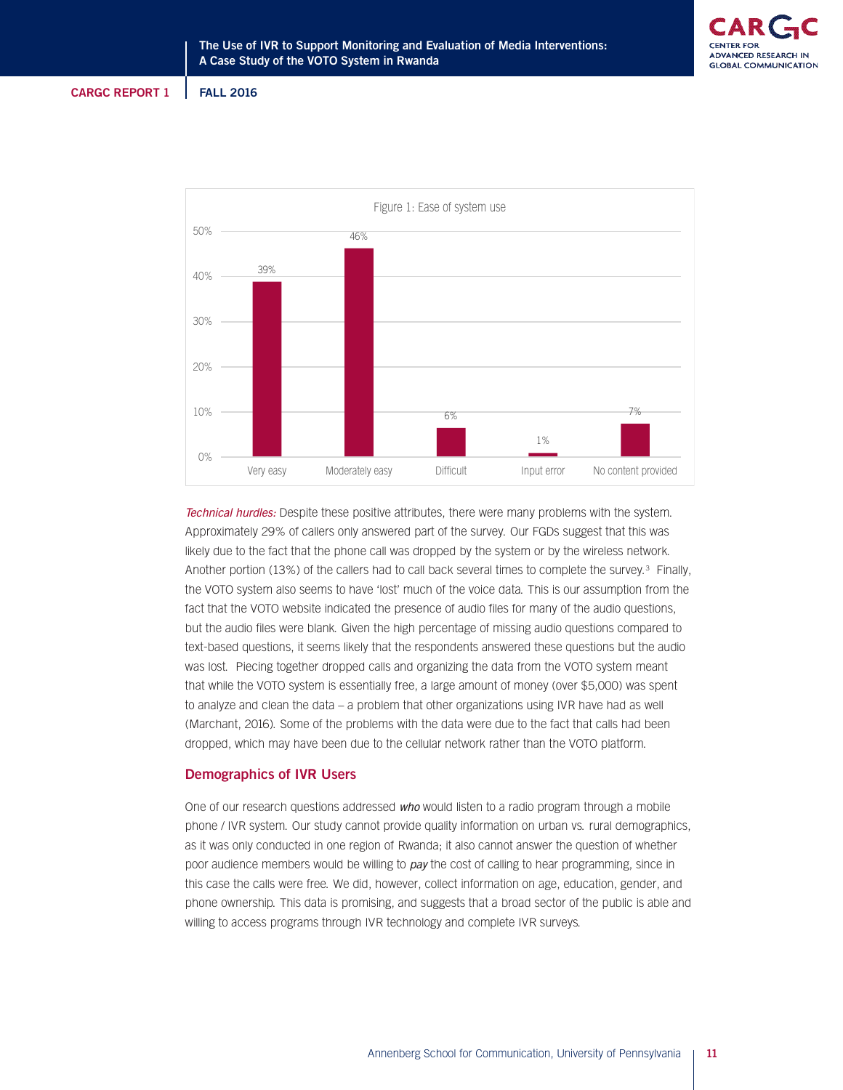



Technical hurdles: Despite these positive attributes, there were many problems with the system. Approximately 29% of callers only answered part of the survey. Our FGDs suggest that this was likely due to the fact that the phone call was dropped by the system or by the wireless network. Another portion (13%) of the callers had to call back several times to complete the survey.<sup>3</sup> Finally, the VOTO system also seems to have 'lost' much of the voice data. This is our assumption from the fact that the VOTO website indicated the presence of audio files for many of the audio questions, but the audio files were blank. Given the high percentage of missing audio questions compared to text-based questions, it seems likely that the respondents answered these questions but the audio was lost. Piecing together dropped calls and organizing the data from the VOTO system meant that while the VOTO system is essentially free, a large amount of money (over \$5,000) was spent to analyze and clean the data – a problem that other organizations using IVR have had as well (Marchant, 2016). Some of the problems with the data were due to the fact that calls had been dropped, which may have been due to the cellular network rather than the VOTO platform.

## **Demographics of IVR Users**

One of our research questions addressed who would listen to a radio program through a mobile phone / IVR system. Our study cannot provide quality information on urban vs. rural demographics, as it was only conducted in one region of Rwanda; it also cannot answer the question of whether poor audience members would be willing to pay the cost of calling to hear programming, since in this case the calls were free. We did, however, collect information on age, education, gender, and phone ownership. This data is promising, and suggests that a broad sector of the public is able and willing to access programs through IVR technology and complete IVR surveys.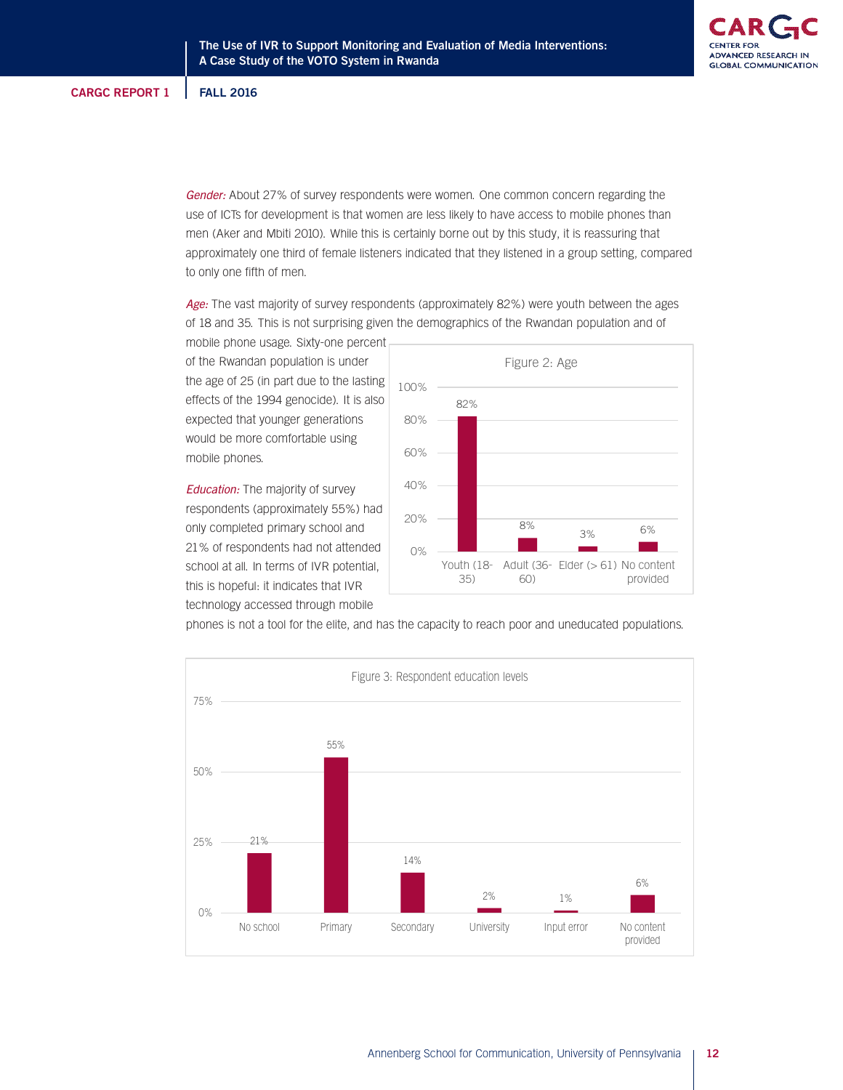Gender: About 27% of survey respondents were women. One common concern regarding the use of ICTs for development is that women are less likely to have access to mobile phones than men (Aker and Mbiti 2010). While this is certainly borne out by this study, it is reassuring that approximately one third of female listeners indicated that they listened in a group setting, compared to only one fifth of men.

Age: The vast majority of survey respondents (approximately 82%) were youth between the ages of 18 and 35. This is not surprising given the demographics of the Rwandan population and of

mobile phone usage. Sixty-one percent of the Rwandan population is under the age of 25 (in part due to the lasting effects of the 1994 genocide). It is also expected that younger generations would be more comfortable using mobile phones.

**Education:** The majority of survey respondents (approximately 55%) had only completed primary school and 21% of respondents had not attended school at all. In terms of IVR potential, this is hopeful: it indicates that IVR technology accessed through mobile





phones is not a tool for the elite, and has the capacity to reach poor and uneducated populations.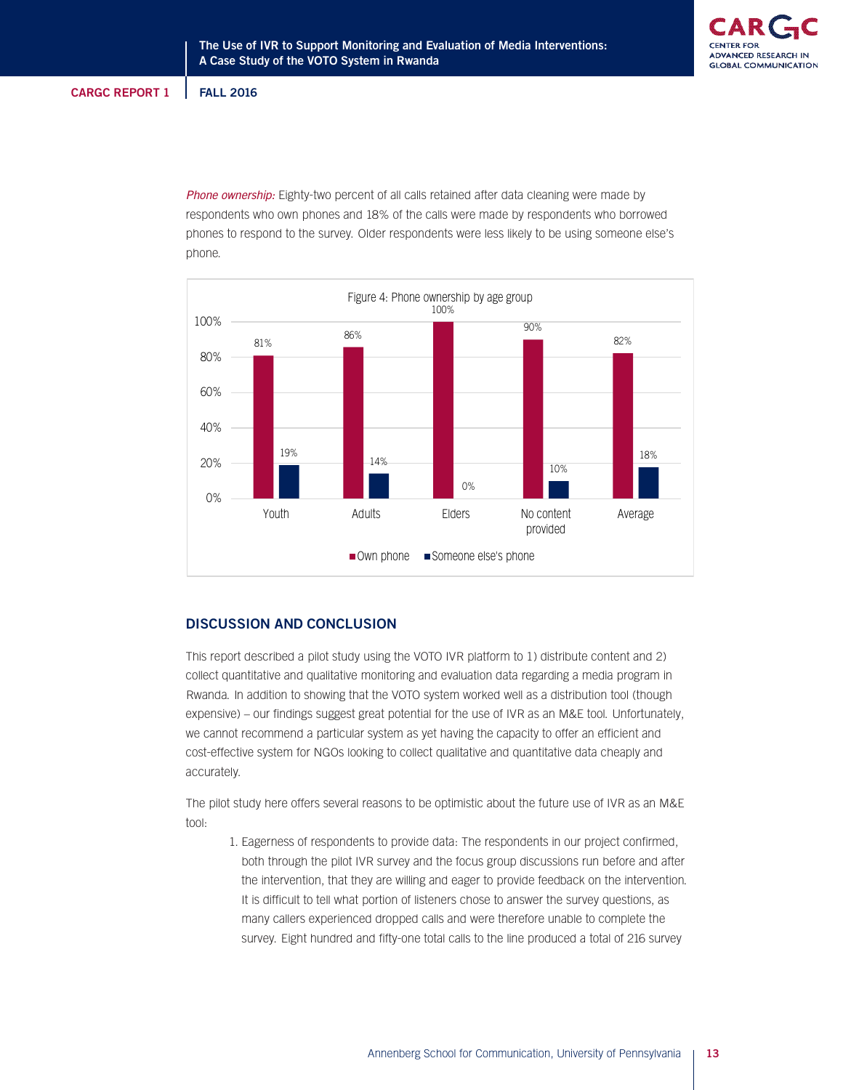Phone ownership: Eighty-two percent of all calls retained after data cleaning were made by respondents who own phones and 18% of the calls were made by respondents who borrowed phones to respond to the survey. Older respondents were less likely to be using someone else's phone.



# **DISCUSSION AND CONCLUSION**

This report described a pilot study using the VOTO IVR platform to 1) distribute content and 2) collect quantitative and qualitative monitoring and evaluation data regarding a media program in Rwanda. In addition to showing that the VOTO system worked well as a distribution tool (though expensive) – our findings suggest great potential for the use of IVR as an M&E tool. Unfortunately, we cannot recommend a particular system as yet having the capacity to offer an efficient and cost-effective system for NGOs looking to collect qualitative and quantitative data cheaply and accurately.

The pilot study here offers several reasons to be optimistic about the future use of IVR as an M&E tool:

1. Eagerness of respondents to provide data: The respondents in our project confirmed, both through the pilot IVR survey and the focus group discussions run before and after the intervention, that they are willing and eager to provide feedback on the intervention. It is difficult to tell what portion of listeners chose to answer the survey questions, as many callers experienced dropped calls and were therefore unable to complete the survey. Eight hundred and fifty-one total calls to the line produced a total of 216 survey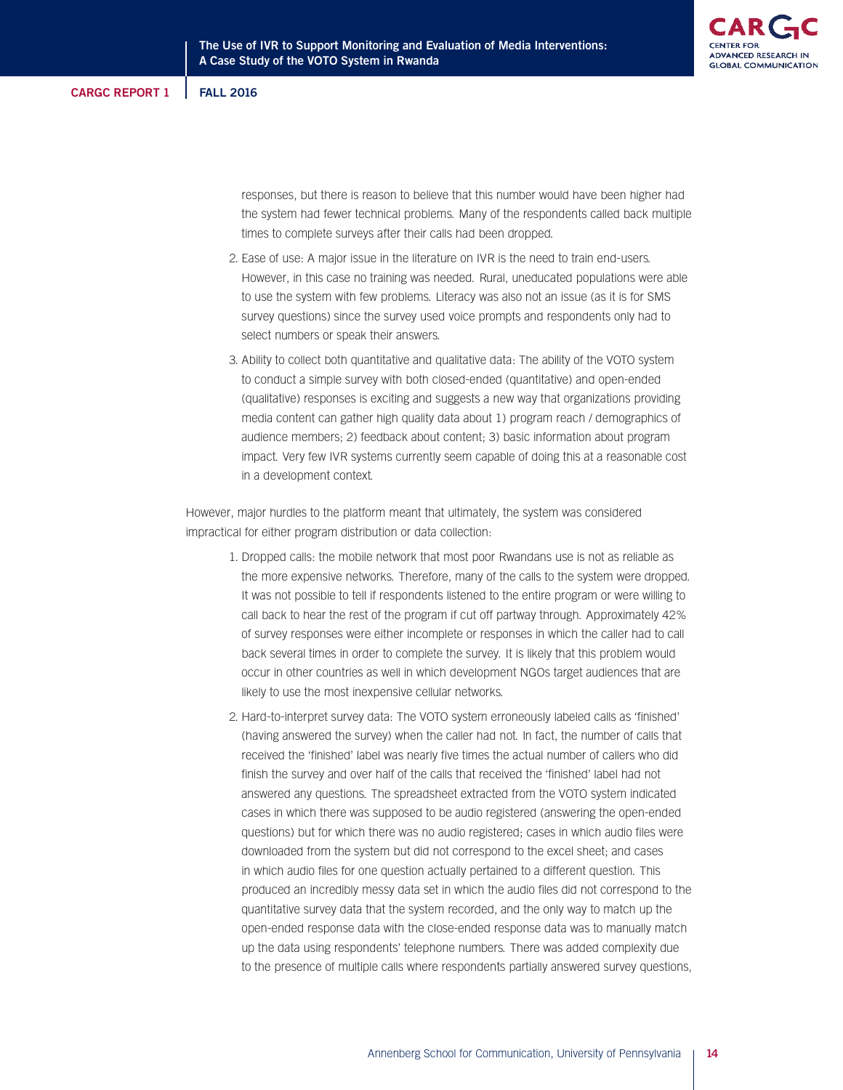

responses, but there is reason to believe that this number would have been higher had the system had fewer technical problems. Many of the respondents called back multiple times to complete surveys after their calls had been dropped.

- 2. Ease of use: A major issue in the literature on IVR is the need to train end-users. However, in this case no training was needed. Rural, uneducated populations were able to use the system with few problems. Literacy was also not an issue (as it is for SMS survey questions) since the survey used voice prompts and respondents only had to select numbers or speak their answers.
- 3. Ability to collect both quantitative and qualitative data: The ability of the VOTO system to conduct a simple survey with both closed-ended (quantitative) and open-ended (qualitative) responses is exciting and suggests a new way that organizations providing media content can gather high quality data about 1) program reach / demographics of audience members; 2) feedback about content; 3) basic information about program impact. Very few IVR systems currently seem capable of doing this at a reasonable cost in a development context.

However, major hurdles to the platform meant that ultimately, the system was considered impractical for either program distribution or data collection:

- 1. Dropped calls: the mobile network that most poor Rwandans use is not as reliable as the more expensive networks. Therefore, many of the calls to the system were dropped. It was not possible to tell if respondents listened to the entire program or were willing to call back to hear the rest of the program if cut off partway through. Approximately 42% of survey responses were either incomplete or responses in which the caller had to call back several times in order to complete the survey. It is likely that this problem would occur in other countries as well in which development NGOs target audiences that are likely to use the most inexpensive cellular networks.
- 2. Hard-to-interpret survey data: The VOTO system erroneously labeled calls as 'finished' (having answered the survey) when the caller had not. In fact, the number of calls that received the 'finished' label was nearly five times the actual number of callers who did finish the survey and over half of the calls that received the 'finished' label had not answered any questions. The spreadsheet extracted from the VOTO system indicated cases in which there was supposed to be audio registered (answering the open-ended questions) but for which there was no audio registered; cases in which audio files were downloaded from the system but did not correspond to the excel sheet; and cases in which audio files for one question actually pertained to a different question. This produced an incredibly messy data set in which the audio files did not correspond to the quantitative survey data that the system recorded, and the only way to match up the open-ended response data with the close-ended response data was to manually match up the data using respondents' telephone numbers. There was added complexity due to the presence of multiple calls where respondents partially answered survey questions,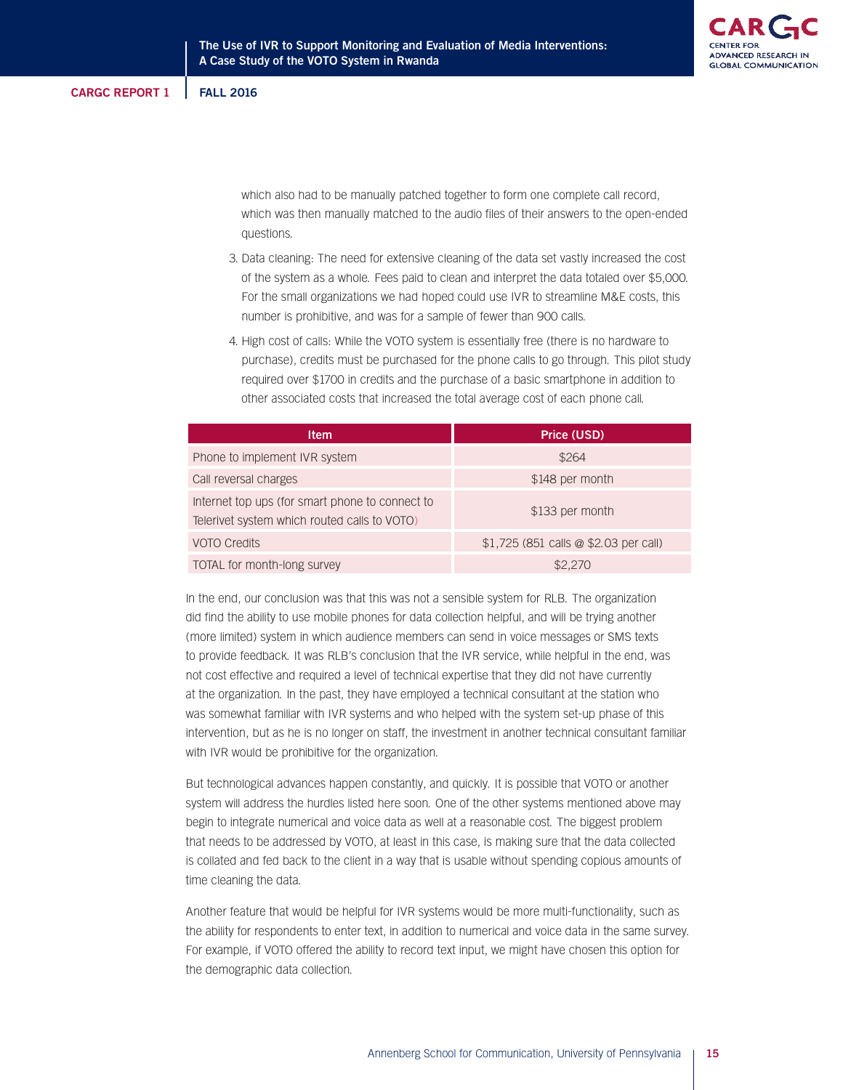which also had to be manually patched together to form one complete call record, which was then manually matched to the audio files of their answers to the open-ended questions.

- 3. Data cleaning: The need for extensive cleaning of the data set vastly increased the cost of the system as a whole. Fees paid to clean and interpret the data totaled over \$5,000. For the small organizations we had hoped could use IVR to streamline M&E costs, this number is prohibitive, and was for a sample of fewer than 900 calls.
- 4. High cost of calls: While the VOTO system is essentially free (there is no hardware to purchase), credits must be purchased for the phone calls to go through. This pilot study required over \$1700 in credits and the purchase of a basic smartphone in addition to other associated costs that increased the total average cost of each phone call.

| <b>Item</b>                                                                                     | Price (USD)                           |
|-------------------------------------------------------------------------------------------------|---------------------------------------|
| Phone to implement IVR system                                                                   | \$264                                 |
| Call reversal charges                                                                           | \$148 per month                       |
| Internet top ups (for smart phone to connect to<br>Telerivet system which routed calls to VOTO) | \$133 per month                       |
| <b>VOTO Credits</b>                                                                             | \$1,725 (851 calls @ \$2.03 per call) |
| TOTAL for month-long survey                                                                     | \$2.270                               |

In the end, our conclusion was that this was not a sensible system for RLB. The organization did find the ability to use mobile phones for data collection helpful, and will be trying another (more limited) system in which audience members can send in voice messages or SMS texts to provide feedback. It was RLB's conclusion that the IVR service, while helpful in the end, was not cost effective and required a level of technical expertise that they did not have currently at the organization. In the past, they have employed a technical consultant at the station who was somewhat familiar with IVR systems and who helped with the system set-up phase of this intervention, but as he is no longer on staff, the investment in another technical consultant familiar with IVR would be prohibitive for the organization.

But technological advances happen constantly, and quickly. It is possible that VOTO or another system will address the hurdles listed here soon. One of the other systems mentioned above may begin to integrate numerical and voice data as well at a reasonable cost. The biggest problem that needs to be addressed by VOTO, at least in this case, is making sure that the data collected is collated and fed back to the client in a way that is usable without spending copious amounts of time cleaning the data.

Another feature that would be helpful for IVR systems would be more multi-functionality, such as the ability for respondents to enter text, in addition to numerical and voice data in the same survey. For example, if VOTO offered the ability to record text input, we might have chosen this option for the demographic data collection.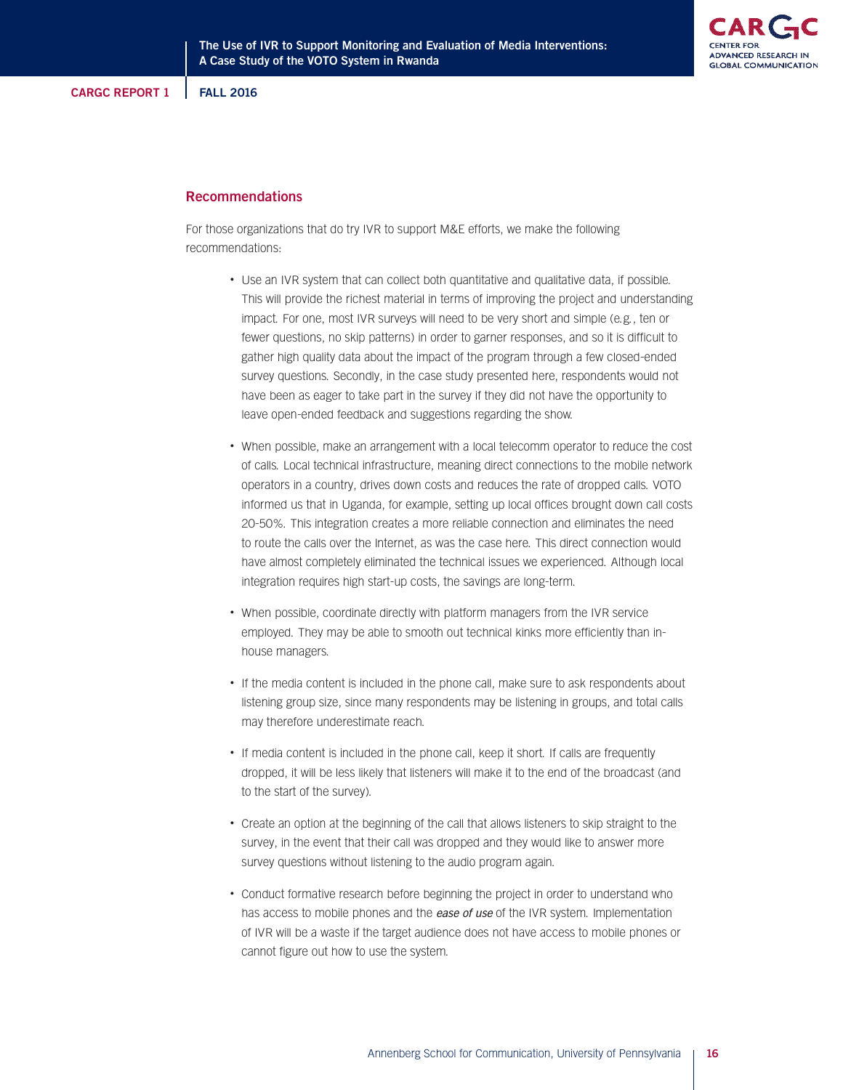**ADVANCED RESEARD GLOBAL COMMUNICATION** 

# **Recommendations**

For those organizations that do try IVR to support M&E efforts, we make the following recommendations:

- Use an IVR system that can collect both quantitative and qualitative data, if possible. This will provide the richest material in terms of improving the project and understanding impact. For one, most IVR surveys will need to be very short and simple (e.g., ten or fewer questions, no skip patterns) in order to garner responses, and so it is difficult to gather high quality data about the impact of the program through a few closed-ended survey questions. Secondly, in the case study presented here, respondents would not have been as eager to take part in the survey if they did not have the opportunity to leave open-ended feedback and suggestions regarding the show.
- When possible, make an arrangement with a local telecomm operator to reduce the cost of calls. Local technical infrastructure, meaning direct connections to the mobile network operators in a country, drives down costs and reduces the rate of dropped calls. VOTO informed us that in Uganda, for example, setting up local offices brought down call costs 20-50%. This integration creates a more reliable connection and eliminates the need to route the calls over the Internet, as was the case here. This direct connection would have almost completely eliminated the technical issues we experienced. Although local integration requires high start-up costs, the savings are long-term.
- When possible, coordinate directly with platform managers from the IVR service employed. They may be able to smooth out technical kinks more efficiently than inhouse managers.
- If the media content is included in the phone call, make sure to ask respondents about listening group size, since many respondents may be listening in groups, and total calls may therefore underestimate reach.
- If media content is included in the phone call, keep it short. If calls are frequently dropped, it will be less likely that listeners will make it to the end of the broadcast (and to the start of the survey).
- Create an option at the beginning of the call that allows listeners to skip straight to the survey, in the event that their call was dropped and they would like to answer more survey questions without listening to the audio program again.
- Conduct formative research before beginning the project in order to understand who has access to mobile phones and the ease of use of the IVR system. Implementation of IVR will be a waste if the target audience does not have access to mobile phones or cannot figure out how to use the system.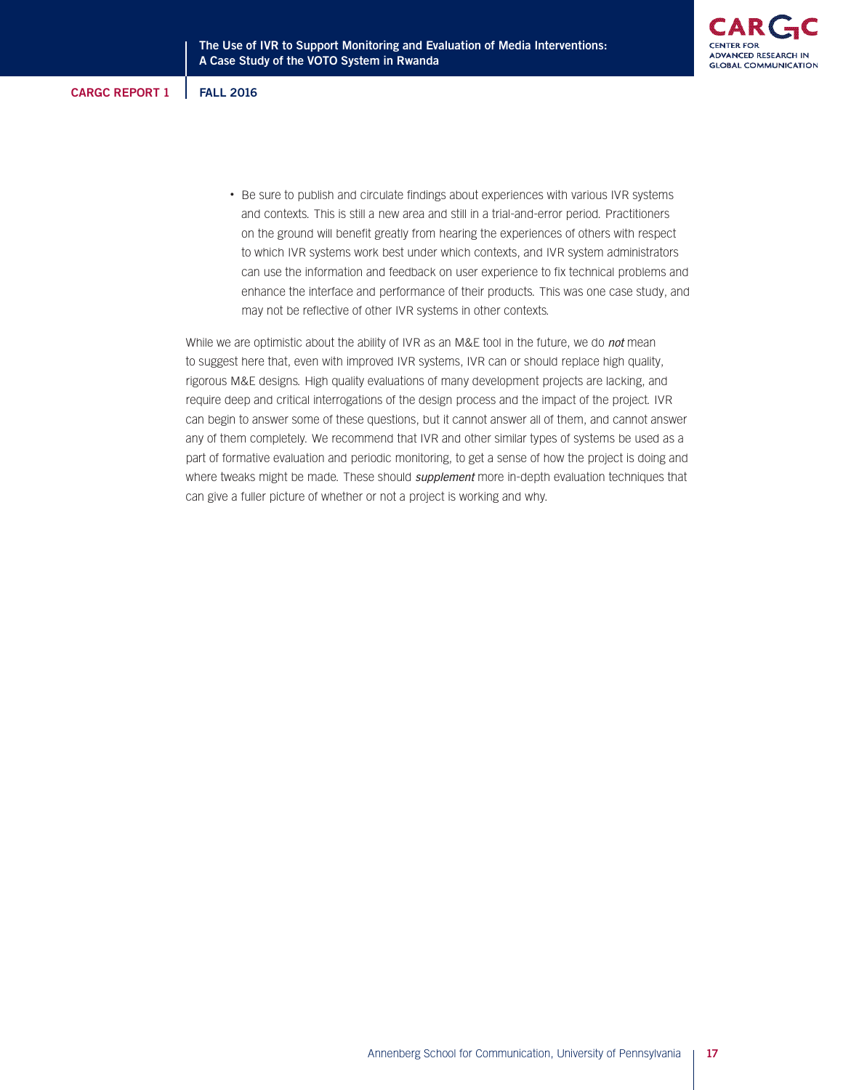• Be sure to publish and circulate findings about experiences with various IVR systems and contexts. This is still a new area and still in a trial-and-error period. Practitioners on the ground will benefit greatly from hearing the experiences of others with respect to which IVR systems work best under which contexts, and IVR system administrators can use the information and feedback on user experience to fix technical problems and enhance the interface and performance of their products. This was one case study, and may not be reflective of other IVR systems in other contexts.

While we are optimistic about the ability of IVR as an M&E tool in the future, we do not mean to suggest here that, even with improved IVR systems, IVR can or should replace high quality, rigorous M&E designs. High quality evaluations of many development projects are lacking, and require deep and critical interrogations of the design process and the impact of the project. IVR can begin to answer some of these questions, but it cannot answer all of them, and cannot answer any of them completely. We recommend that IVR and other similar types of systems be used as a part of formative evaluation and periodic monitoring, to get a sense of how the project is doing and where tweaks might be made. These should supplement more in-depth evaluation techniques that can give a fuller picture of whether or not a project is working and why.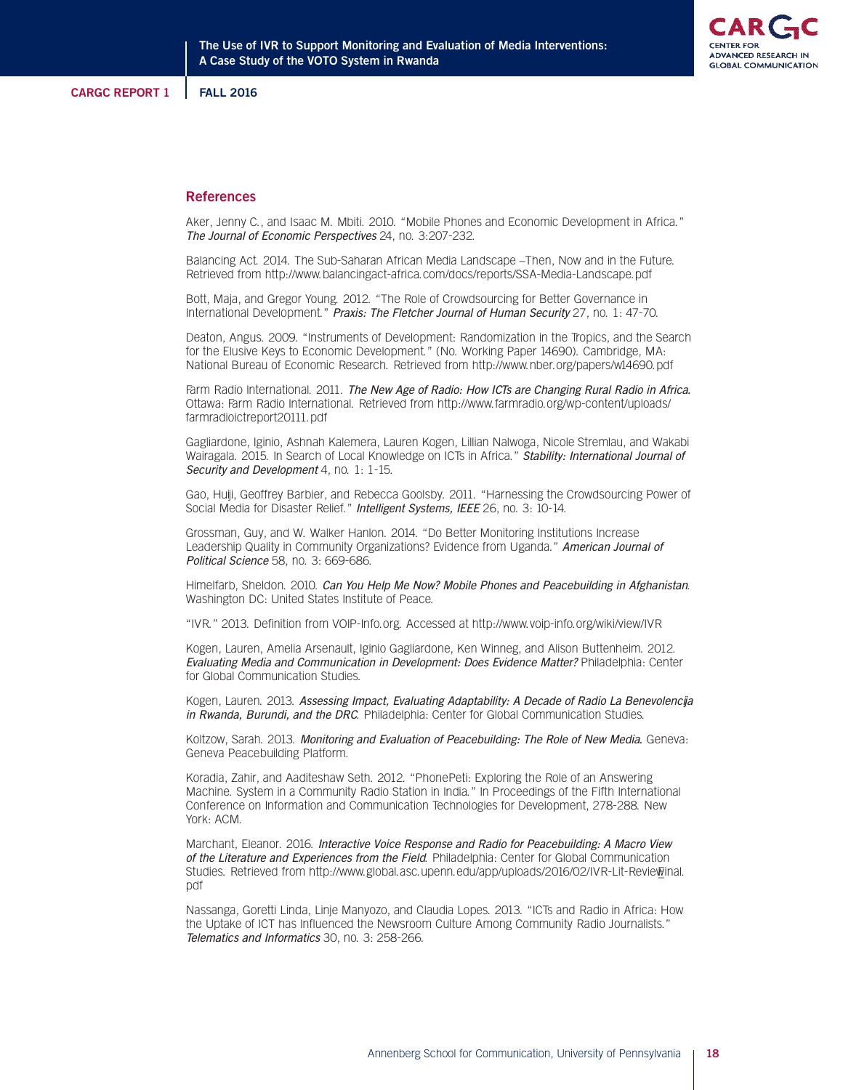

#### **References**

Aker, Jenny C., and Isaac M. Mbiti. 2010. "Mobile Phones and Economic Development in Africa." The Journal of Economic Perspectives 24, no. 3:207-232.

Balancing Act. 2014. The Sub-Saharan African Media Landscape –Then, Now and in the Future. Retrieved from http://www.balancingact-africa.com/docs/reports/SSA-Media-Landscape.pdf

Bott, Maja, and Gregor Young. 2012. "The Role of Crowdsourcing for Better Governance in International Development." Praxis: The Fletcher Journal of Human Security 27, no. 1: 47-70.

Deaton, Angus. 2009. "Instruments of Development: Randomization in the Tropics, and the Search for the Elusive Keys to Economic Development." (No. Working Paper 14690). Cambridge, MA: National Bureau of Economic Research. Retrieved from http://www.nber.org/papers/w14690.pdf

Farm Radio International. 2011. The New Age of Radio: How ICTs are Changing Rural Radio in Africa. Ottawa: Farm Radio International. Retrieved from http://www.farmradio.org/wp-content/uploads/ farmradioictreport20111.pdf

Gagliardone, Iginio, Ashnah Kalemera, Lauren Kogen, Lillian Nalwoga, Nicole Stremlau, and Wakabi Wairagala. 2015. In Search of Local Knowledge on ICTs in Africa." Stability: International Journal of Security and Development 4, no. 1: 1-15.

Gao, Huiji, Geoffrey Barbier, and Rebecca Goolsby. 2011. "Harnessing the Crowdsourcing Power of Social Media for Disaster Relief." Intelligent Systems, IEEE 26, no. 3: 10-14.

Grossman, Guy, and W. Walker Hanlon. 2014. "Do Better Monitoring Institutions Increase Leadership Quality in Community Organizations? Evidence from Uganda." American Journal of Political Science 58, no. 3: 669-686.

Himelfarb, Sheldon. 2010. Can You Help Me Now? Mobile Phones and Peacebuilding in Afghanistan. Washington DC: United States Institute of Peace.

"IVR." 2013. Definition from VOIP-Info.org. Accessed at http://www.voip-info.org/wiki/view/IVR

Kogen, Lauren, Amelia Arsenault, Iginio Gagliardone, Ken Winneg, and Alison Buttenheim. 2012. Evaluating Media and Communication in Development: Does Evidence Matter? Philadelphia: Center for Global Communication Studies.

Kogen, Lauren. 2013. Assessing Impact, Evaluating Adaptability: A Decade of Radio La Benevolencija in Rwanda, Burundi, and the DRC. Philadelphia: Center for Global Communication Studies.

Koltzow, Sarah. 2013. Monitoring and Evaluation of Peacebuilding: The Role of New Media. Geneva: Geneva Peacebuilding Platform.

Koradia, Zahir, and Aaditeshaw Seth. 2012. "PhonePeti: Exploring the Role of an Answering Machine. System in a Community Radio Station in India." In Proceedings of the Fifth International Conference on Information and Communication Technologies for Development, 278-288. New York: ACM.

Marchant, Eleanor. 2016. Interactive Voice Response and Radio for Peacebuilding: A Macro View of the Literature and Experiences from the Field. Philadelphia: Center for Global Communication Studies. Retrieved from http://www.global.asc.upenn.edu/app/uploads/2016/02/IVR-Lit-Reviewinal. pdf

Nassanga, Goretti Linda, Linje Manyozo, and Claudia Lopes. 2013. "ICTs and Radio in Africa: How the Uptake of ICT has Influenced the Newsroom Culture Among Community Radio Journalists." Telematics and Informatics 30, no. 3: 258-266.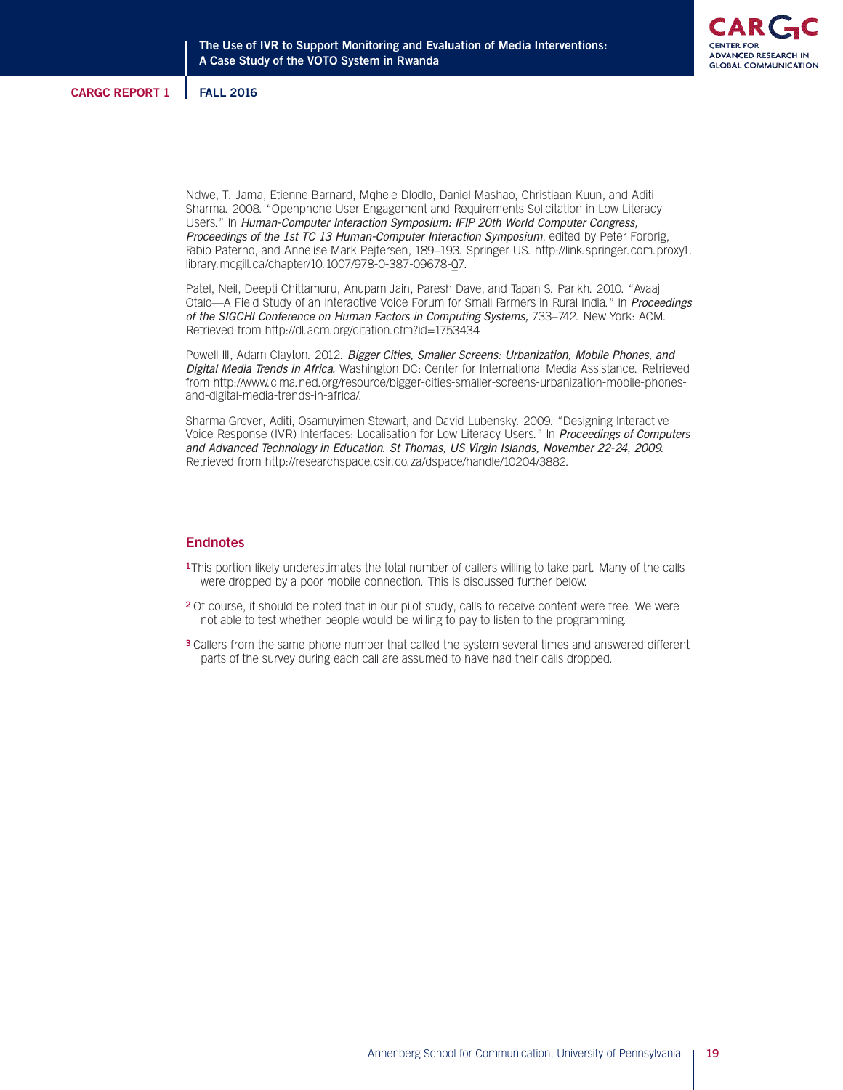

Ndwe, T. Jama, Etienne Barnard, Mqhele Dlodlo, Daniel Mashao, Christiaan Kuun, and Aditi Sharma. 2008. "Openphone User Engagement and Requirements Solicitation in Low Literacy Users." In Human-Computer Interaction Symposium: IFIP 20th World Computer Congress, Proceedings of the 1st TC 13 Human-Computer Interaction Symposium, edited by Peter Forbrig, Fabio Paterno, and Annelise Mark Pejtersen, 189–193. Springer US. http://link.springer.com.proxy1. library.mcgill.ca/chapter/10.1007/978-0-387-09678-07.

Patel, Neil, Deepti Chittamuru, Anupam Jain, Paresh Dave, and Tapan S. Parikh. 2010. "Avaaj Otalo-A Field Study of an Interactive Voice Forum for Small Farmers in Rural India." In Proceedings of the SIGCHI Conference on Human Factors in Computing Systems, 733–742. New York: ACM. Retrieved from http://dl.acm.org/citation.cfm?id=1753434

Powell III, Adam Clayton. 2012. Bigger Cities, Smaller Screens: Urbanization, Mobile Phones, and Digital Media Trends in Africa. Washington DC: Center for International Media Assistance. Retrieved from http://www.cima.ned.org/resource/bigger-cities-smaller-screens-urbanization-mobile-phonesand-digital-media-trends-in-africa/.

Sharma Grover, Aditi, Osamuyimen Stewart, and David Lubensky. 2009. "Designing Interactive Voice Response (IVR) Interfaces: Localisation for Low Literacy Users." In Proceedings of Computers and Advanced Technology in Education. St Thomas, US Virgin Islands, November 22-24, 2009. Retrieved from http://researchspace.csir.co.za/dspace/handle/10204/3882.

# **Endnotes**

- **1**This portion likely underestimates the total number of callers willing to take part. Many of the calls were dropped by a poor mobile connection. This is discussed further below.
- **2** Of course, it should be noted that in our pilot study, calls to receive content were free. We were not able to test whether people would be willing to pay to listen to the programming.
- **3** Callers from the same phone number that called the system several times and answered different parts of the survey during each call are assumed to have had their calls dropped.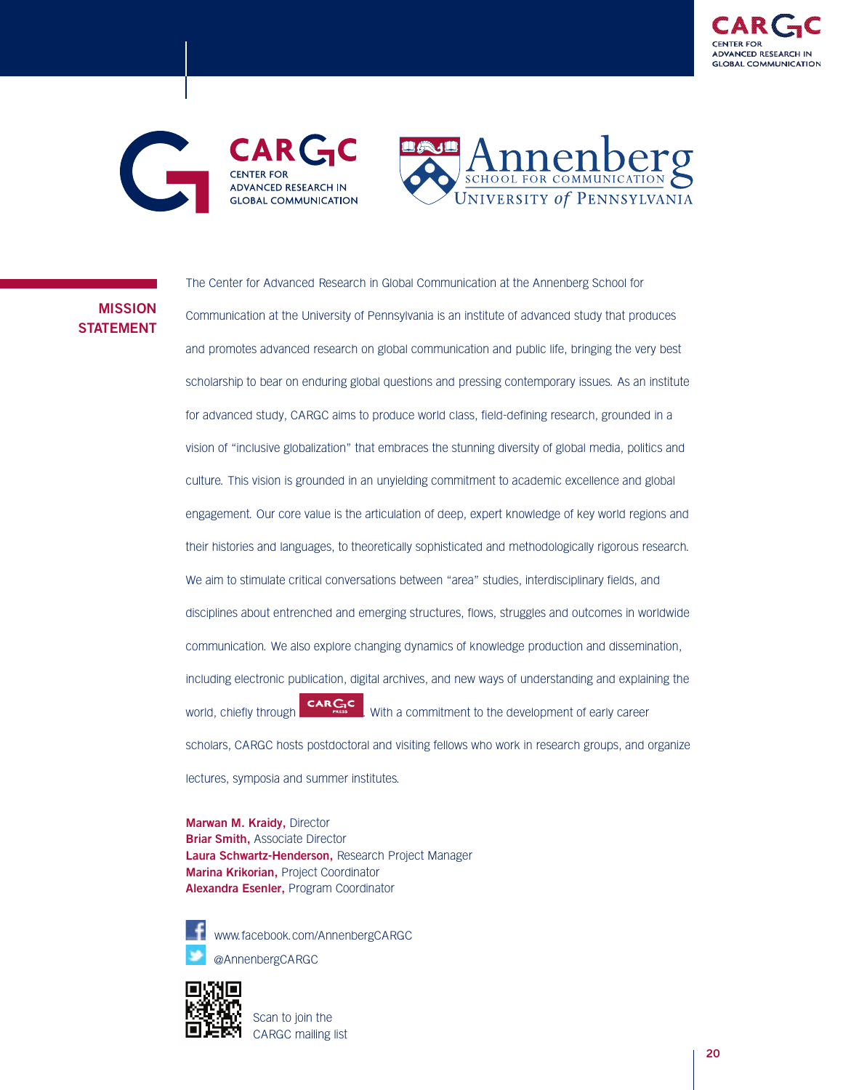





# **MISSION STATEMENT**

The Center for Advanced Research in Global Communication at the Annenberg School for Communication at the University of Pennsylvania is an institute of advanced study that produces and promotes advanced research on global communication and public life, bringing the very best scholarship to bear on enduring global questions and pressing contemporary issues. As an institute for advanced study, CARGC aims to produce world class, field-defining research, grounded in a vision of "inclusive globalization" that embraces the stunning diversity of global media, politics and culture. This vision is grounded in an unyielding commitment to academic excellence and global engagement. Our core value is the articulation of deep, expert knowledge of key world regions and their histories and languages, to theoretically sophisticated and methodologically rigorous research. We aim to stimulate critical conversations between "area" studies, interdisciplinary fields, and disciplines about entrenched and emerging structures, flows, struggles and outcomes in worldwide communication. We also explore changing dynamics of knowledge production and dissemination, including electronic publication, digital archives, and new ways of understanding and explaining the world, chiefly through  $\frac{\text{CAR} \cdot \text{CAR}}{\text{mass}}$  with a commitment to the development of early career scholars, CARGC hosts postdoctoral and visiting fellows who work in research groups, and organize lectures, symposia and summer institutes.

**Marwan M. Kraidy,** Director **Briar Smith,** Associate Director **Laura Schwartz-Henderson,** Research Project Manager **Marina Krikorian,** Project Coordinator **Alexandra Esenler,** Program Coordinator



www.facebook.com/AnnenbergCARGC @AnnenbergCARGC



Scan to join the CARGC mailing list